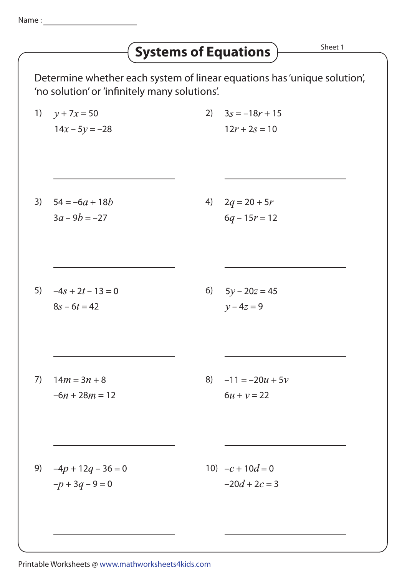## **Systems of Equations**  $\overrightarrow{S}$ <sup>Sheet 1</sup>

Determine whether each system of linear equations has 'unique solution', 'no solution' or 'infinitely many solutions'.

1)  $y + 7x = 50$  $14x - 5y = -28$ 2)  $3s = -18r + 15$  $12r + 2s = 10$ 3)  $54 = -6a + 18b$  $3a - 9b = -27$ 4)  $2q = 20 + 5r$  $6q - 15r = 12$ 5)  $-4s + 2t - 13 = 0$  $8s - 6t = 42$ 6)  $5y - 20z = 45$  $y - 4z = 9$ 7)  $14m = 3n + 8$  $-6n + 28m = 12$ 8)  $-11 = -20u + 5v$  $6u + v = 22$ 9)  $-4p + 12q - 36 = 0$  $-p + 3q - 9 = 0$ 10)  $-c + 10d = 0$  $-20d + 2c = 3$